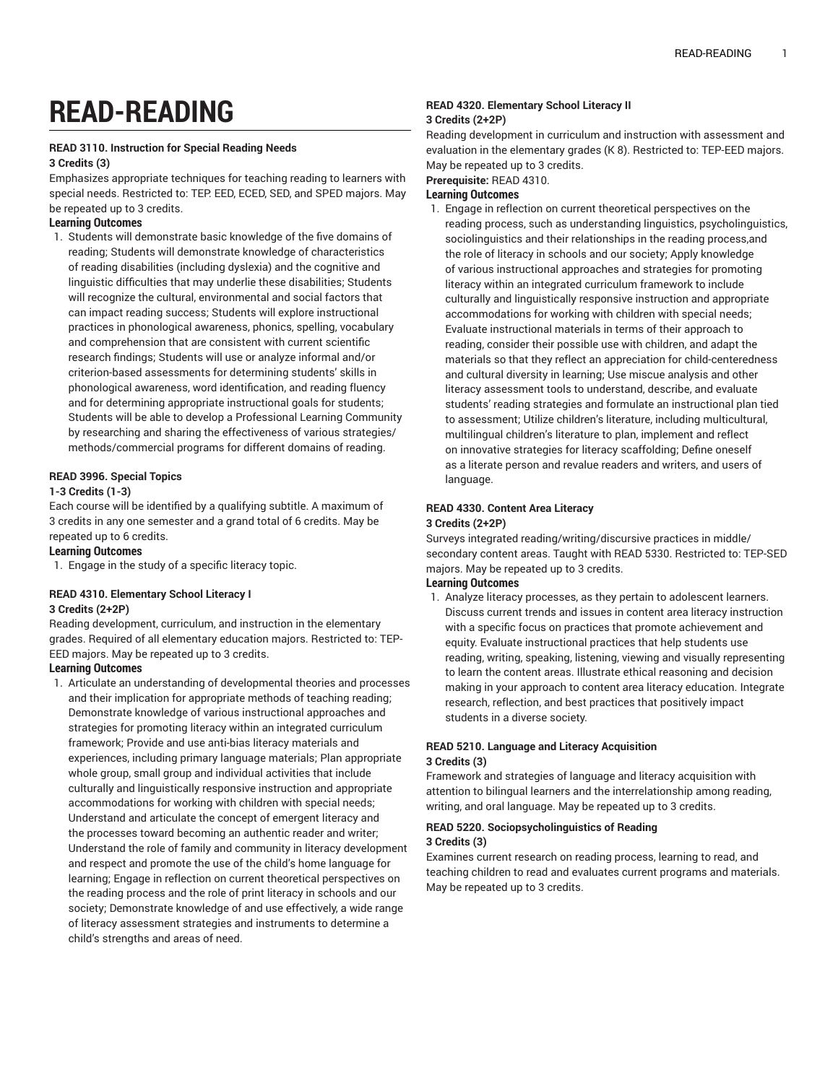# **READ-READING**

#### **READ 3110. Instruction for Special Reading Needs**

#### **3 Credits (3)**

Emphasizes appropriate techniques for teaching reading to learners with special needs. Restricted to: TEP: EED, ECED, SED, and SPED majors. May be repeated up to 3 credits.

#### **Learning Outcomes**

1. Students will demonstrate basic knowledge of the five domains of reading; Students will demonstrate knowledge of characteristics of reading disabilities (including dyslexia) and the cognitive and linguistic difficulties that may underlie these disabilities; Students will recognize the cultural, environmental and social factors that can impact reading success; Students will explore instructional practices in phonological awareness, phonics, spelling, vocabulary and comprehension that are consistent with current scientific research findings; Students will use or analyze informal and/or criterion-based assessments for determining students' skills in phonological awareness, word identification, and reading fluency and for determining appropriate instructional goals for students; Students will be able to develop a Professional Learning Community by researching and sharing the effectiveness of various strategies/ methods/commercial programs for different domains of reading.

#### **READ 3996. Special Topics**

#### **1-3 Credits (1-3)**

Each course will be identified by a qualifying subtitle. A maximum of 3 credits in any one semester and a grand total of 6 credits. May be repeated up to 6 credits.

#### **Learning Outcomes**

1. Engage in the study of a specific literacy topic.

#### **READ 4310. Elementary School Literacy I**

#### **3 Credits (2+2P)**

Reading development, curriculum, and instruction in the elementary grades. Required of all elementary education majors. Restricted to: TEP-EED majors. May be repeated up to 3 credits.

#### **Learning Outcomes**

1. Articulate an understanding of developmental theories and processes and their implication for appropriate methods of teaching reading; Demonstrate knowledge of various instructional approaches and strategies for promoting literacy within an integrated curriculum framework; Provide and use anti-bias literacy materials and experiences, including primary language materials; Plan appropriate whole group, small group and individual activities that include culturally and linguistically responsive instruction and appropriate accommodations for working with children with special needs; Understand and articulate the concept of emergent literacy and the processes toward becoming an authentic reader and writer; Understand the role of family and community in literacy development and respect and promote the use of the child's home language for learning; Engage in reflection on current theoretical perspectives on the reading process and the role of print literacy in schools and our society; Demonstrate knowledge of and use effectively, a wide range of literacy assessment strategies and instruments to determine a child's strengths and areas of need.

#### **READ 4320. Elementary School Literacy II 3 Credits (2+2P)**

Reading development in curriculum and instruction with assessment and evaluation in the elementary grades (K 8). Restricted to: TEP-EED majors. May be repeated up to 3 credits.

# **Prerequisite:** READ 4310.

# **Learning Outcomes**

1. Engage in reflection on current theoretical perspectives on the reading process, such as understanding linguistics, psycholinguistics, sociolinguistics and their relationships in the reading process,and the role of literacy in schools and our society; Apply knowledge of various instructional approaches and strategies for promoting literacy within an integrated curriculum framework to include culturally and linguistically responsive instruction and appropriate accommodations for working with children with special needs; Evaluate instructional materials in terms of their approach to reading, consider their possible use with children, and adapt the materials so that they reflect an appreciation for child-centeredness and cultural diversity in learning; Use miscue analysis and other literacy assessment tools to understand, describe, and evaluate students' reading strategies and formulate an instructional plan tied to assessment; Utilize children's literature, including multicultural, multilingual children's literature to plan, implement and reflect on innovative strategies for literacy scaffolding; Define oneself as a literate person and revalue readers and writers, and users of language.

# **READ 4330. Content Area Literacy**

**3 Credits (2+2P)**

Surveys integrated reading/writing/discursive practices in middle/ secondary content areas. Taught with READ 5330. Restricted to: TEP-SED majors. May be repeated up to 3 credits.

#### **Learning Outcomes**

1. Analyze literacy processes, as they pertain to adolescent learners. Discuss current trends and issues in content area literacy instruction with a specific focus on practices that promote achievement and equity. Evaluate instructional practices that help students use reading, writing, speaking, listening, viewing and visually representing to learn the content areas. Illustrate ethical reasoning and decision making in your approach to content area literacy education. Integrate research, reflection, and best practices that positively impact students in a diverse society.

#### **READ 5210. Language and Literacy Acquisition 3 Credits (3)**

Framework and strategies of language and literacy acquisition with attention to bilingual learners and the interrelationship among reading, writing, and oral language. May be repeated up to 3 credits.

#### **READ 5220. Sociopsycholinguistics of Reading 3 Credits (3)**

Examines current research on reading process, learning to read, and teaching children to read and evaluates current programs and materials. May be repeated up to 3 credits.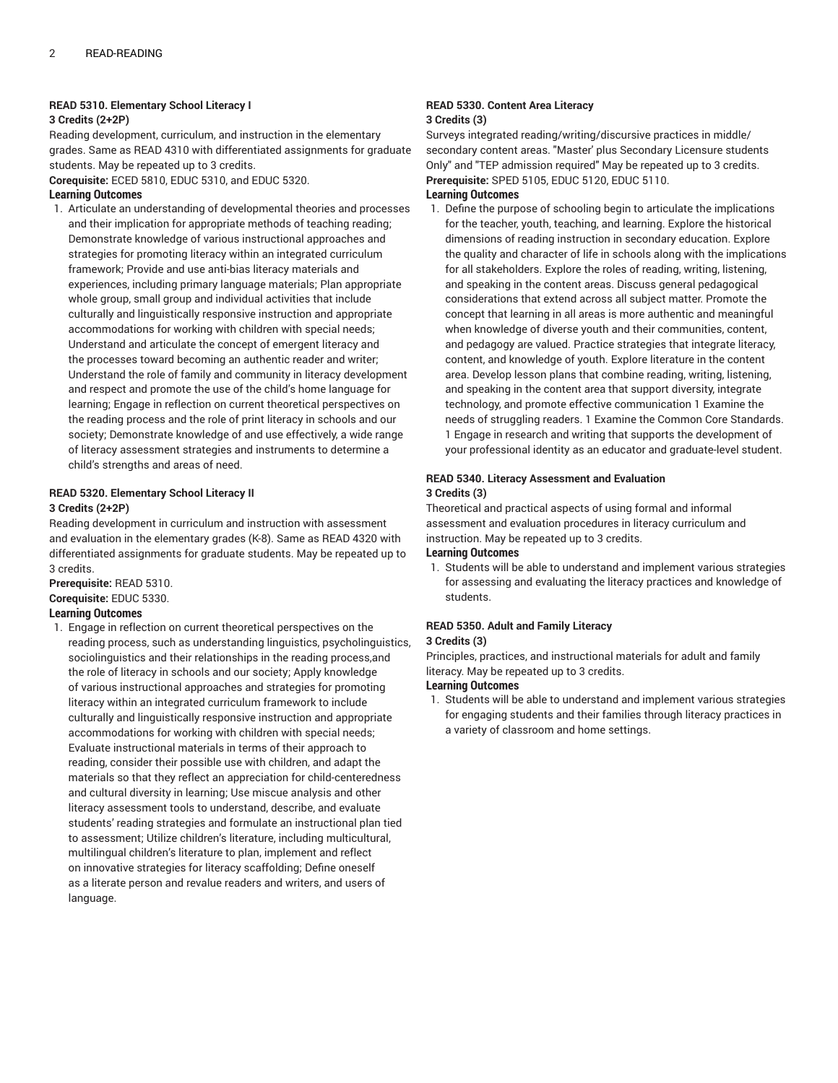#### **READ 5310. Elementary School Literacy I 3 Credits (2+2P)**

Reading development, curriculum, and instruction in the elementary grades. Same as READ 4310 with differentiated assignments for graduate students. May be repeated up to 3 credits.

**Corequisite:** ECED 5810, EDUC 5310, and EDUC 5320.

#### **Learning Outcomes**

1. Articulate an understanding of developmental theories and processes and their implication for appropriate methods of teaching reading; Demonstrate knowledge of various instructional approaches and strategies for promoting literacy within an integrated curriculum framework; Provide and use anti-bias literacy materials and experiences, including primary language materials; Plan appropriate whole group, small group and individual activities that include culturally and linguistically responsive instruction and appropriate accommodations for working with children with special needs; Understand and articulate the concept of emergent literacy and the processes toward becoming an authentic reader and writer; Understand the role of family and community in literacy development and respect and promote the use of the child's home language for learning; Engage in reflection on current theoretical perspectives on the reading process and the role of print literacy in schools and our society; Demonstrate knowledge of and use effectively, a wide range of literacy assessment strategies and instruments to determine a child's strengths and areas of need.

#### **READ 5320. Elementary School Literacy II 3 Credits (2+2P)**

Reading development in curriculum and instruction with assessment and evaluation in the elementary grades (K-8). Same as READ 4320 with differentiated assignments for graduate students. May be repeated up to 3 credits.

**Prerequisite:** READ 5310. **Corequisite:** EDUC 5330.

#### **Learning Outcomes**

1. Engage in reflection on current theoretical perspectives on the reading process, such as understanding linguistics, psycholinguistics, sociolinguistics and their relationships in the reading process,and the role of literacy in schools and our society; Apply knowledge of various instructional approaches and strategies for promoting literacy within an integrated curriculum framework to include culturally and linguistically responsive instruction and appropriate accommodations for working with children with special needs; Evaluate instructional materials in terms of their approach to reading, consider their possible use with children, and adapt the materials so that they reflect an appreciation for child-centeredness and cultural diversity in learning; Use miscue analysis and other literacy assessment tools to understand, describe, and evaluate students' reading strategies and formulate an instructional plan tied to assessment; Utilize children's literature, including multicultural, multilingual children's literature to plan, implement and reflect on innovative strategies for literacy scaffolding; Define oneself as a literate person and revalue readers and writers, and users of language.

#### **READ 5330. Content Area Literacy 3 Credits (3)**

Surveys integrated reading/writing/discursive practices in middle/ secondary content areas. "Master' plus Secondary Licensure students Only" and "TEP admission required" May be repeated up to 3 credits. **Prerequisite:** SPED 5105, EDUC 5120, EDUC 5110.

#### **Learning Outcomes**

1. Define the purpose of schooling begin to articulate the implications for the teacher, youth, teaching, and learning. Explore the historical dimensions of reading instruction in secondary education. Explore the quality and character of life in schools along with the implications for all stakeholders. Explore the roles of reading, writing, listening, and speaking in the content areas. Discuss general pedagogical considerations that extend across all subject matter. Promote the concept that learning in all areas is more authentic and meaningful when knowledge of diverse youth and their communities, content, and pedagogy are valued. Practice strategies that integrate literacy, content, and knowledge of youth. Explore literature in the content area. Develop lesson plans that combine reading, writing, listening, and speaking in the content area that support diversity, integrate technology, and promote effective communication 1 Examine the needs of struggling readers. 1 Examine the Common Core Standards. 1 Engage in research and writing that supports the development of your professional identity as an educator and graduate-level student.

#### **READ 5340. Literacy Assessment and Evaluation 3 Credits (3)**

Theoretical and practical aspects of using formal and informal assessment and evaluation procedures in literacy curriculum and instruction. May be repeated up to 3 credits. **Learning Outcomes**

#### 1. Students will be able to understand and implement various strategies for assessing and evaluating the literacy practices and knowledge of students.

#### **READ 5350. Adult and Family Literacy**

#### **3 Credits (3)**

Principles, practices, and instructional materials for adult and family literacy. May be repeated up to 3 credits.

#### **Learning Outcomes**

1. Students will be able to understand and implement various strategies for engaging students and their families through literacy practices in a variety of classroom and home settings.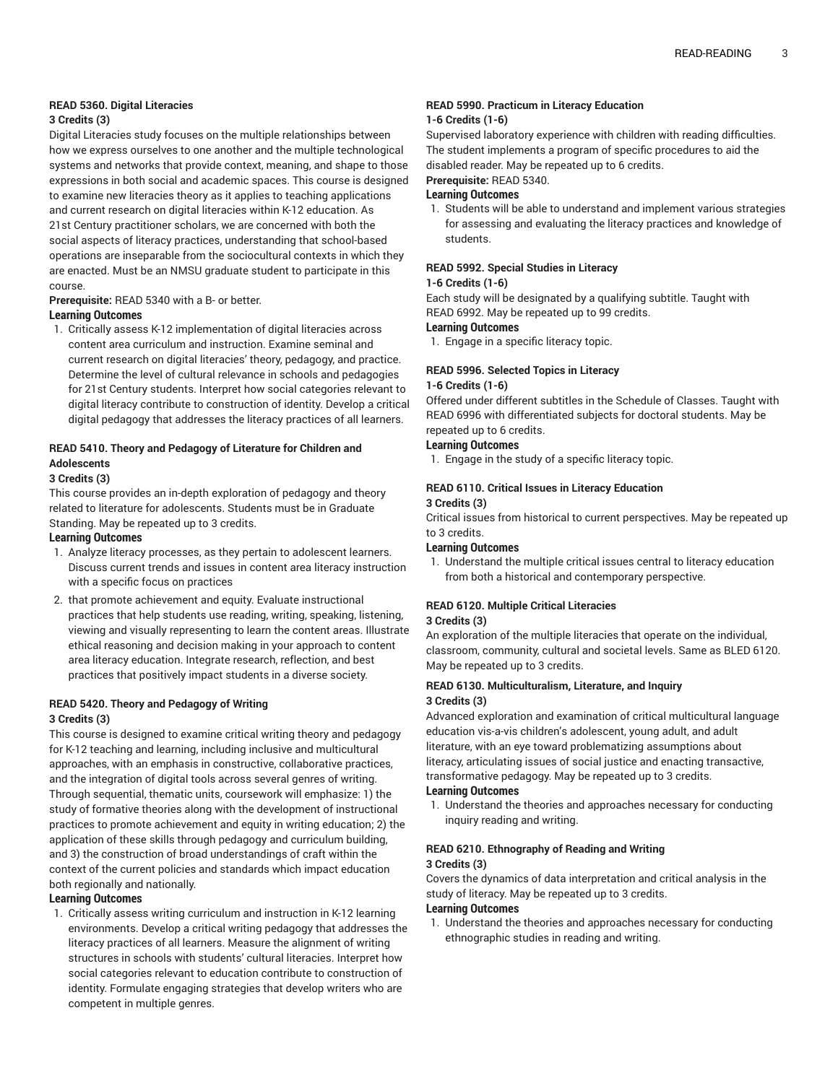#### **READ 5360. Digital Literacies**

#### **3 Credits (3)**

Digital Literacies study focuses on the multiple relationships between how we express ourselves to one another and the multiple technological systems and networks that provide context, meaning, and shape to those expressions in both social and academic spaces. This course is designed to examine new literacies theory as it applies to teaching applications and current research on digital literacies within K-12 education. As 21st Century practitioner scholars, we are concerned with both the social aspects of literacy practices, understanding that school-based operations are inseparable from the sociocultural contexts in which they are enacted. Must be an NMSU graduate student to participate in this course.

#### **Prerequisite:** READ 5340 with a B- or better.

#### **Learning Outcomes**

1. Critically assess K-12 implementation of digital literacies across content area curriculum and instruction. Examine seminal and current research on digital literacies' theory, pedagogy, and practice. Determine the level of cultural relevance in schools and pedagogies for 21st Century students. Interpret how social categories relevant to digital literacy contribute to construction of identity. Develop a critical digital pedagogy that addresses the literacy practices of all learners.

#### **READ 5410. Theory and Pedagogy of Literature for Children and Adolescents**

#### **3 Credits (3)**

This course provides an in-depth exploration of pedagogy and theory related to literature for adolescents. Students must be in Graduate Standing. May be repeated up to 3 credits.

#### **Learning Outcomes**

- 1. Analyze literacy processes, as they pertain to adolescent learners. Discuss current trends and issues in content area literacy instruction with a specific focus on practices
- 2. that promote achievement and equity. Evaluate instructional practices that help students use reading, writing, speaking, listening, viewing and visually representing to learn the content areas. Illustrate ethical reasoning and decision making in your approach to content area literacy education. Integrate research, reflection, and best practices that positively impact students in a diverse society.

#### **READ 5420. Theory and Pedagogy of Writing 3 Credits (3)**

This course is designed to examine critical writing theory and pedagogy for K-12 teaching and learning, including inclusive and multicultural approaches, with an emphasis in constructive, collaborative practices, and the integration of digital tools across several genres of writing. Through sequential, thematic units, coursework will emphasize: 1) the study of formative theories along with the development of instructional practices to promote achievement and equity in writing education; 2) the application of these skills through pedagogy and curriculum building, and 3) the construction of broad understandings of craft within the context of the current policies and standards which impact education both regionally and nationally.

#### **Learning Outcomes**

1. Critically assess writing curriculum and instruction in K-12 learning environments. Develop a critical writing pedagogy that addresses the literacy practices of all learners. Measure the alignment of writing structures in schools with students' cultural literacies. Interpret how social categories relevant to education contribute to construction of identity. Formulate engaging strategies that develop writers who are competent in multiple genres.

#### **READ 5990. Practicum in Literacy Education 1-6 Credits (1-6)**

Supervised laboratory experience with children with reading difficulties. The student implements a program of specific procedures to aid the disabled reader. May be repeated up to 6 credits.

#### **Prerequisite:** READ 5340.

#### **Learning Outcomes**

1. Students will be able to understand and implement various strategies for assessing and evaluating the literacy practices and knowledge of students.

#### **READ 5992. Special Studies in Literacy**

#### **1-6 Credits (1-6)**

Each study will be designated by a qualifying subtitle. Taught with READ 6992. May be repeated up to 99 credits.

#### **Learning Outcomes**

1. Engage in a specific literacy topic.

### **READ 5996. Selected Topics in Literacy**

#### **1-6 Credits (1-6)**

Offered under different subtitles in the Schedule of Classes. Taught with READ 6996 with differentiated subjects for doctoral students. May be

#### repeated up to 6 credits. **Learning Outcomes**

1. Engage in the study of a specific literacy topic.

#### **READ 6110. Critical Issues in Literacy Education 3 Credits (3)**

Critical issues from historical to current perspectives. May be repeated up to 3 credits.

#### **Learning Outcomes**

1. Understand the multiple critical issues central to literacy education from both a historical and contemporary perspective.

#### **READ 6120. Multiple Critical Literacies**

#### **3 Credits (3)**

An exploration of the multiple literacies that operate on the individual, classroom, community, cultural and societal levels. Same as BLED 6120. May be repeated up to 3 credits.

#### **READ 6130. Multiculturalism, Literature, and Inquiry 3 Credits (3)**

Advanced exploration and examination of critical multicultural language education vis-a-vis children's adolescent, young adult, and adult literature, with an eye toward problematizing assumptions about literacy, articulating issues of social justice and enacting transactive, transformative pedagogy. May be repeated up to 3 credits. **Learning Outcomes**

1. Understand the theories and approaches necessary for conducting inquiry reading and writing.

#### **READ 6210. Ethnography of Reading and Writing 3 Credits (3)**

Covers the dynamics of data interpretation and critical analysis in the study of literacy. May be repeated up to 3 credits.

#### **Learning Outcomes**

1. Understand the theories and approaches necessary for conducting ethnographic studies in reading and writing.